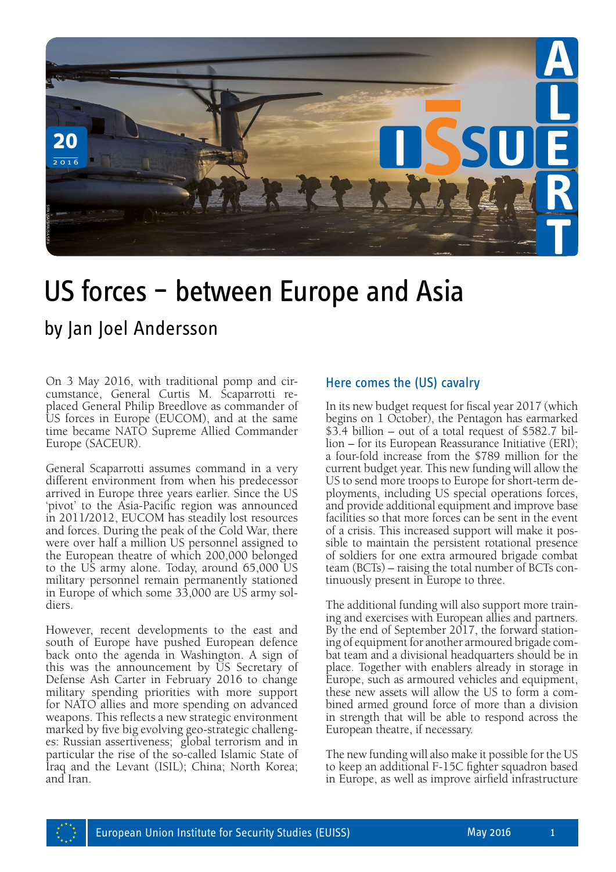

# US forces – between Europe and Asia

On 3 May 2016, with traditional pomp and circumstance, General Curtis M. Scaparrotti replaced General Philip Breedlove as commander of US forces in Europe (EUCOM), and at the same time became NATO Supreme Allied Commander Europe (SACEUR).

General Scaparrotti assumes command in a very different environment from when his predecessor arrived in Europe three years earlier. Since the US 'pivot' to the Asia-Pacific region was announced in 2011/2012, EUCOM has steadily lost resources and forces. During the peak of the Cold War, there were over half a million US personnel assigned to the European theatre of which 200,000 belonged to the US army alone. Today, around 65,000 US military personnel remain permanently stationed in Europe of which some 33,000 are US army sol- diers.

However, recent developments to the east and south of Europe have pushed European defence back onto the agenda in Washington. A sign of this was the announcement by US Secretary of Defense Ash Carter in February 2016 to change military spending priorities with more support for NATO allies and more spending on advanced weapons. This reflects a new strategic environment marked by five big evolving geo-strategic challeng- es: Russian assertiveness; global terrorism and in particular the rise of the so-called Islamic State of Iraq and the Levant (ISIL); China; North Korea; and Iran.

#### Here comes the (US) cavalry

In its new budget request for fiscal year 2017 (which begins on 1 October), the Pentagon has earmarked \$3.4 billion – out of a total request of \$582.7 billion – for its European Reassurance Initiative (ERI); a four-fold increase from the \$789 million for the current budget year. This new funding will allow the US to send more troops to Europe for short-term deployments, including US special operations forces, and provide additional equipment and improve base facilities so that more forces can be sent in the event of a crisis. This increased support will make it possible to maintain the persistent rotational presence of soldiers for one extra armoured brigade combat team (BCTs) – raising the total number of BCTs continuously present in Europe to three.

The additional funding will also support more training and exercises with European allies and partners. By the end of September 2017, the forward stationing of equipment for another armoured brigade combat team and a divisional headquarters should be in place. Together with enablers already in storage in Europe, such as armoured vehicles and equipment, these new assets will allow the US to form a combined armed ground force of more than a division in strength that will be able to respond across the European theatre, if necessary.

The new funding will also make it possible for the US to keep an additional F-15C fighter squadron based in Europe, as well as improve airfield infrastructure